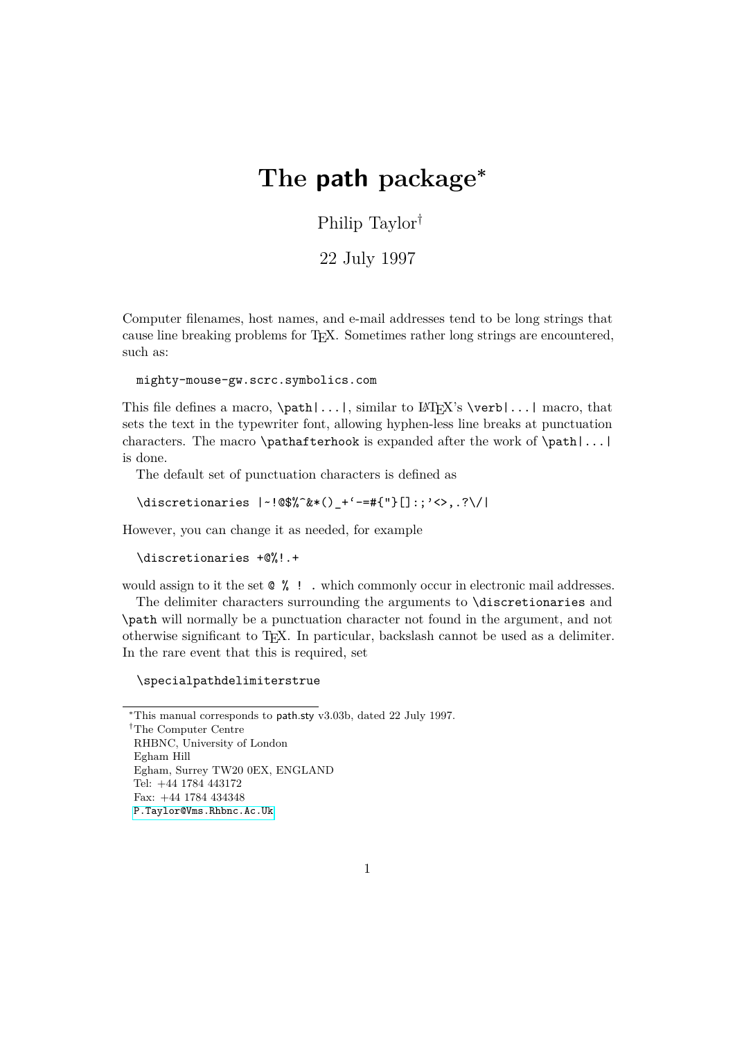## **The path package<sup>∗</sup>**

Philip Taylor†

22 July 1997

Computer filenames, host names, and e-mail addresses tend to be long strings that cause line breaking problems for TEX. Sometimes rather long strings are encountered, such as:

mighty-mouse-gw.scrc.symbolics.com

This file defines a macro,  $\path|...|$ , similar to  $\text{FFRX's } \verb|verb|...|$  macro, that sets the text in the typewriter font, allowing hyphen-less line breaks at punctuation characters. The macro \pathafterhook is expanded after the work of \path|...| is done.

The default set of punctuation characters is defined as

```
\discretionaries |~!@$%^&*()_+'-=#{"}[]:;'<>,.?\/|
```
However, you can change it as needed, for example

```
\discretionaries +@%!.+
```
would assign to it the set  $\mathbb{Q}$   $\%$  ! . which commonly occur in electronic mail addresses.

The delimiter characters surrounding the arguments to \discretionaries and \path will normally be a punctuation character not found in the argument, and not otherwise significant to TEX. In particular, backslash cannot be used as a delimiter. In the rare event that this is required, set

## \specialpathdelimiterstrue

```
∗This manual corresponds to path.sty v3.03b, dated 22 July 1997.
```
†The Computer Centre RHBNC, University of London Egham Hill Egham, Surrey TW20 0EX, ENGLAND Tel: +44 1784 443172 Fax: +44 1784 434348 [P.Taylor@Vms.Rhbnc.Ac.Uk](mailto:P.Taylor@Vms.Rhbnc.Ac.Uk)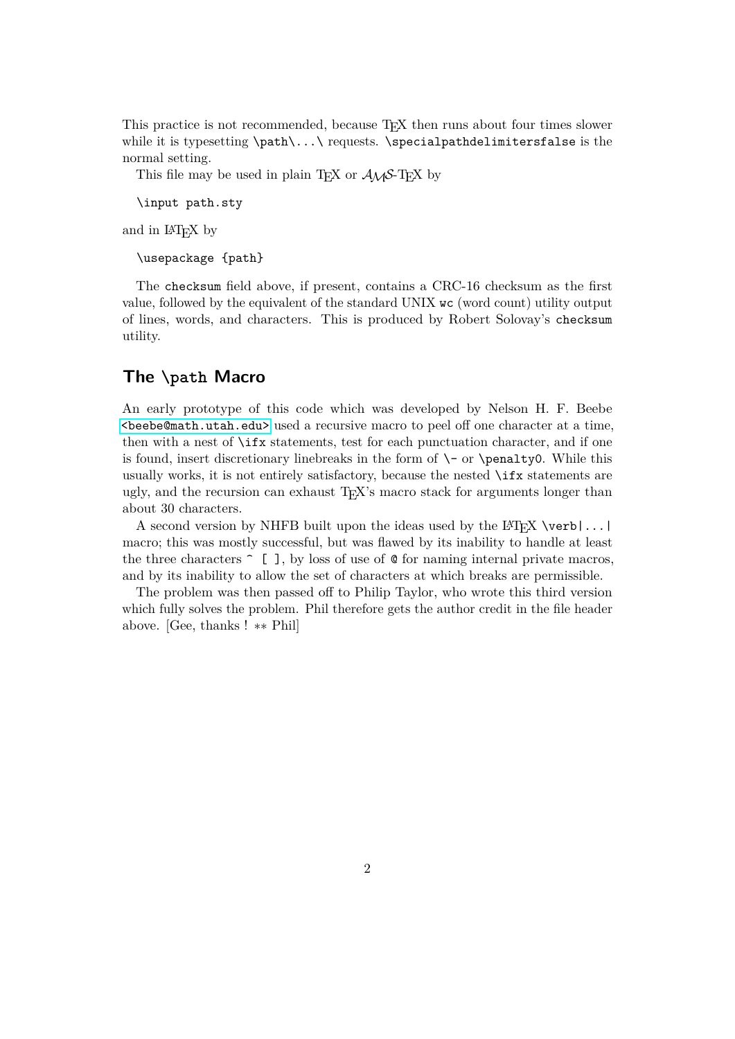This practice is not recommended, because TEX then runs about four times slower while it is typesetting  $\path\ldots\$  requests.  $\special pathdelinitersfalse$  is the normal setting.

This file may be used in plain T<sub>E</sub>X or  $A_{\mathcal{M}}S$ -T<sub>E</sub>X by

\input path.sty

and in IAT<sub>EX</sub> by

\usepackage {path}

The checksum field above, if present, contains a CRC-16 checksum as the first value, followed by the equivalent of the standard UNIX wc (word count) utility output of lines, words, and characters. This is produced by Robert Solovay's checksum utility.

## **The \path Macro**

An early prototype of this code which was developed by Nelson H. F. Beebe [<beebe@math.utah.edu>](mailto:beebe@math.utah.edu) used a recursive macro to peel off one character at a time, then with a nest of \ifx statements, test for each punctuation character, and if one is found, insert discretionary linebreaks in the form of  $\setminus$ - or  $\epsilon$  penalty0. While this usually works, it is not entirely satisfactory, because the nested \ifx statements are ugly, and the recursion can exhaust TEX's macro stack for arguments longer than about 30 characters.

A second version by NHFB built upon the ideas used by the  $\langle A \rangle$  [FIFX \verb|...] macro; this was mostly successful, but was flawed by its inability to handle at least the three characters  $\hat{\ }$  [ ], by loss of use of  $\hat{\ }$  for naming internal private macros, and by its inability to allow the set of characters at which breaks are permissible.

The problem was then passed off to Philip Taylor, who wrote this third version which fully solves the problem. Phil therefore gets the author credit in the file header above. [Gee, thanks ! ∗∗ Phil]